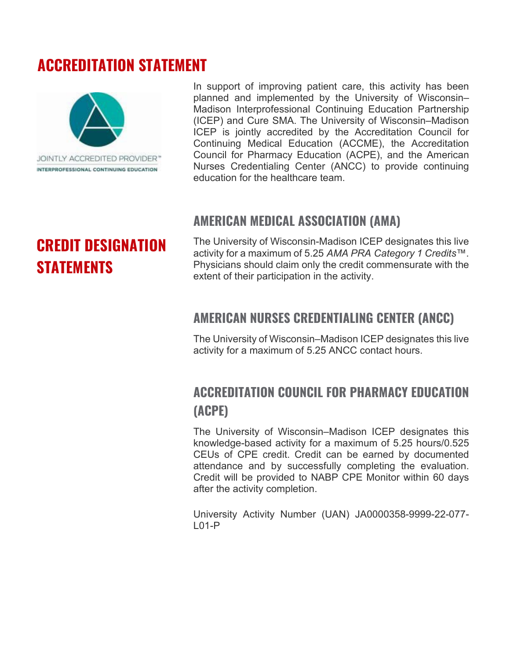# **ACCREDITATION STATEMENT**



In support of improving patient care, this activity has been planned and implemented by the University of Wisconsin– Madison Interprofessional Continuing Education Partnership (ICEP) and Cure SMA. The University of Wisconsin–Madison ICEP is jointly accredited by the Accreditation Council for Continuing Medical Education (ACCME), the Accreditation Council for Pharmacy Education (ACPE), and the American Nurses Credentialing Center (ANCC) to provide continuing education for the healthcare team.

### **AMERICAN MEDICAL ASSOCIATION (AMA)**

The University of Wisconsin-Madison ICEP designates this live activity for a maximum of 5.25 *AMA PRA Category 1 Credits*™. Physicians should claim only the credit commensurate with the extent of their participation in the activity.

### **AMERICAN NURSES CREDENTIALING CENTER (ANCC)**

The University of Wisconsin–Madison ICEP designates this live activity for a maximum of 5.25 ANCC contact hours.

## **ACCREDITATION COUNCIL FOR PHARMACY EDUCATION (ACPE)**

The University of Wisconsin–Madison ICEP designates this knowledge-based activity for a maximum of 5.25 hours/0.525 CEUs of CPE credit. Credit can be earned by documented attendance and by successfully completing the evaluation. Credit will be provided to NABP CPE Monitor within 60 days after the activity completion.

University Activity Number (UAN) JA0000358-9999-22-077- L01-P

# **CREDIT DESIGNATION STATEMENTS**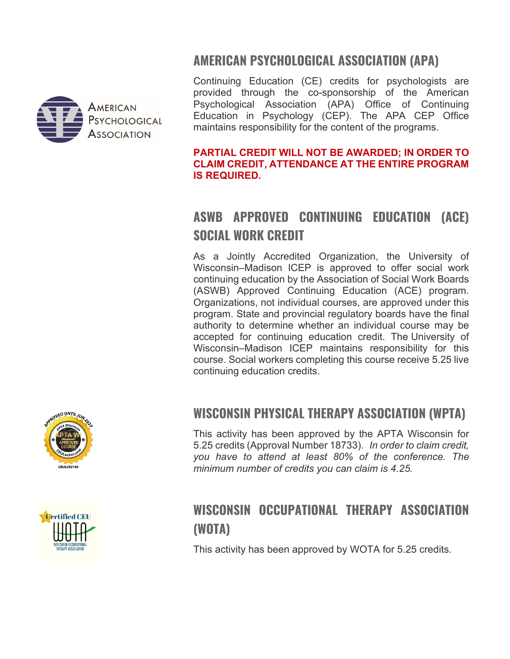



Continuing Education (CE) credits for psychologists are provided through the co-sponsorship of the American Psychological Association (APA) Office of Continuing Education in Psychology (CEP). The APA CEP Office maintains responsibility for the content of the programs.

#### **PARTIAL CREDIT WILL NOT BE AWARDED; IN ORDER TO CLAIM CREDIT, ATTENDANCE AT THE ENTIRE PROGRAM IS REQUIRED.**

# **ASWB APPROVED CONTINUING EDUCATION (ACE) SOCIAL WORK CREDIT**

As a Jointly Accredited Organization, the University of Wisconsin–Madison ICEP is approved to offer social work continuing education by the Association of Social Work Boards (ASWB) Approved Continuing Education (ACE) program. Organizations, not individual courses, are approved under this program. State and provincial regulatory boards have the final authority to determine whether an individual course may be accepted for continuing education credit. The University of Wisconsin–Madison ICEP maintains responsibility for this course. Social workers completing this course receive 5.25 live continuing education credits.

### **WISCONSIN PHYSICAL THERAPY ASSOCIATION (WPTA)**

This activity has been approved by the APTA Wisconsin for 5.25 credits (Approval Number 18733). *In order to claim credit, you have to attend at least 80% of the conference. The minimum number of credits you can claim is 4.25.*

## **WISCONSIN OCCUPATIONAL THERAPY ASSOCIATION (WOTA)**

This activity has been approved by WOTA for 5.25 credits.